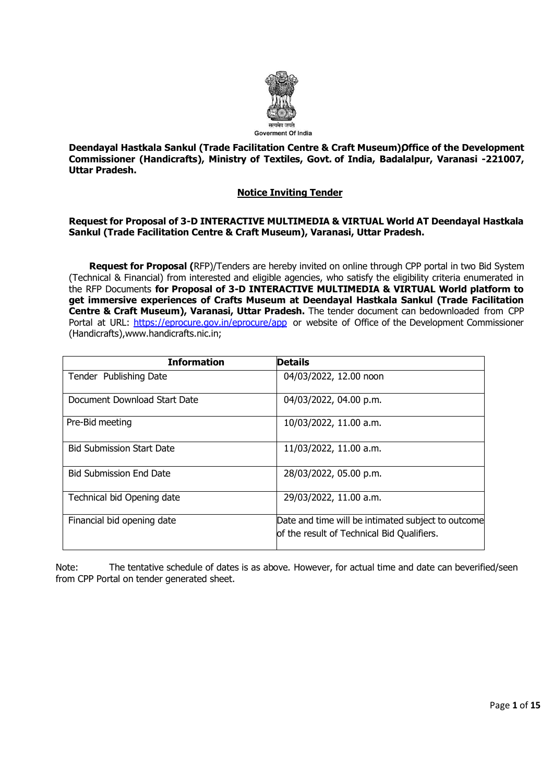

**Deendayal Hastkala Sankul (Trade Facilitation Centre & Craft Museum) Office of the Development Commissioner (Handicrafts), Ministry of Textiles, Govt. of India, Badalalpur, Varanasi -221007, Uttar Pradesh.** 

# **Notice Inviting Tender**

### **Request for Proposal of 3-D INTERACTIVE MULTIMEDIA & VIRTUAL World AT Deendayal Hastkala Sankul (Trade Facilitation Centre & Craft Museum), Varanasi, Uttar Pradesh.**

**Request for Proposal (**RFP)/Tenders are hereby invited on online through CPP portal in two Bid System (Technical & Financial) from interested and eligible agencies, who satisfy the eligibility criteria enumerated in the RFP Documents **for Proposal of 3-D INTERACTIVE MULTIMEDIA & VIRTUAL World platform to get immersive experiences of Crafts Museum at Deendayal Hastkala Sankul (Trade Facilitation Centre & Craft Museum), Varanasi, Uttar Pradesh.** The tender document can bedownloaded from CPP Portal at URL: <https://eprocure.gov.in/eprocure/app> or website of Office of the Development Commissioner (Handicrafts),www.handicrafts.nic.in;

| <b>Information</b>               | <b>Details</b>                                                                                   |
|----------------------------------|--------------------------------------------------------------------------------------------------|
| Tender Publishing Date           | 04/03/2022, 12.00 noon                                                                           |
| Document Download Start Date     | 04/03/2022, 04.00 p.m.                                                                           |
| Pre-Bid meeting                  | 10/03/2022, 11.00 a.m.                                                                           |
| <b>Bid Submission Start Date</b> | 11/03/2022, 11.00 a.m.                                                                           |
| <b>Bid Submission End Date</b>   | 28/03/2022, 05.00 p.m.                                                                           |
| Technical bid Opening date       | 29/03/2022, 11.00 a.m.                                                                           |
| Financial bid opening date       | Date and time will be intimated subject to outcome<br>of the result of Technical Bid Qualifiers. |

Note: The tentative schedule of dates is as above. However, for actual time and date can beverified/seen from CPP Portal on tender generated sheet.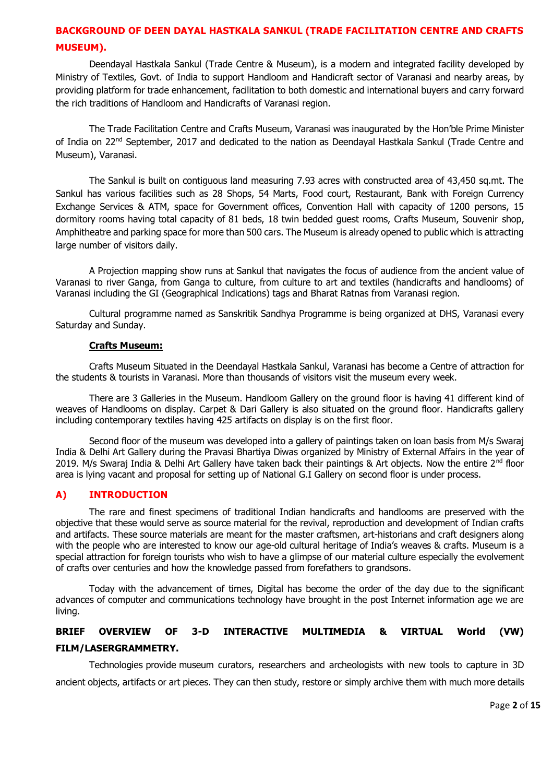# **BACKGROUND OF DEEN DAYAL HASTKALA SANKUL (TRADE FACILITATION CENTRE AND CRAFTS MUSEUM).**

Deendayal Hastkala Sankul (Trade Centre & Museum), is a modern and integrated facility developed by Ministry of Textiles, Govt. of India to support Handloom and Handicraft sector of Varanasi and nearby areas, by providing platform for trade enhancement, facilitation to both domestic and international buyers and carry forward the rich traditions of Handloom and Handicrafts of Varanasi region.

The Trade Facilitation Centre and Crafts Museum, Varanasi was inaugurated by the Hon'ble Prime Minister of India on 22<sup>nd</sup> September, 2017 and dedicated to the nation as Deendayal Hastkala Sankul (Trade Centre and Museum), Varanasi.

The Sankul is built on contiguous land measuring 7.93 acres with constructed area of 43,450 sq.mt. The Sankul has various facilities such as 28 Shops, 54 Marts, Food court, Restaurant, Bank with Foreign Currency Exchange Services & ATM, space for Government offices, Convention Hall with capacity of 1200 persons, 15 dormitory rooms having total capacity of 81 beds, 18 twin bedded guest rooms, Crafts Museum, Souvenir shop, Amphitheatre and parking space for more than 500 cars. The Museum is already opened to public which is attracting large number of visitors daily.

A Projection mapping show runs at Sankul that navigates the focus of audience from the ancient value of Varanasi to river Ganga, from Ganga to culture, from culture to art and textiles (handicrafts and handlooms) of Varanasi including the GI (Geographical Indications) tags and Bharat Ratnas from Varanasi region.

Cultural programme named as Sanskritik Sandhya Programme is being organized at DHS, Varanasi every Saturday and Sunday.

#### **Crafts Museum:**

Crafts Museum Situated in the Deendayal Hastkala Sankul, Varanasi has become a Centre of attraction for the students & tourists in Varanasi. More than thousands of visitors visit the museum every week.

There are 3 Galleries in the Museum. Handloom Gallery on the ground floor is having 41 different kind of weaves of Handlooms on display. Carpet & Dari Gallery is also situated on the ground floor. Handicrafts gallery including contemporary textiles having 425 artifacts on display is on the first floor.

Second floor of the museum was developed into a gallery of paintings taken on loan basis from M/s Swaraj India & Delhi Art Gallery during the Pravasi Bhartiya Diwas organized by Ministry of External Affairs in the year of 2019. M/s Swaraj India & Delhi Art Gallery have taken back their paintings & Art objects. Now the entire  $2^{nd}$  floor area is lying vacant and proposal for setting up of National G.I Gallery on second floor is under process.

#### **A) INTRODUCTION**

The rare and finest specimens of traditional Indian handicrafts and handlooms are preserved with the objective that these would serve as source material for the revival, reproduction and development of Indian crafts and artifacts. These source materials are meant for the master craftsmen, art-historians and craft designers along with the people who are interested to know our age-old cultural heritage of India's weaves & crafts. Museum is a special attraction for foreign tourists who wish to have a glimpse of our material culture especially the evolvement of crafts over centuries and how the knowledge passed from forefathers to grandsons.

Today with the advancement of times, Digital has become the order of the day due to the significant advances of computer and communications technology have brought in the post Internet information age we are living.

# **BRIEF OVERVIEW OF 3-D INTERACTIVE MULTIMEDIA & VIRTUAL World (VW) FILM/LASERGRAMMETRY.**

Technologies provide museum curators, researchers and archeologists with new tools to capture in 3D ancient objects, artifacts or art pieces. They can then study, restore or simply archive them with much more details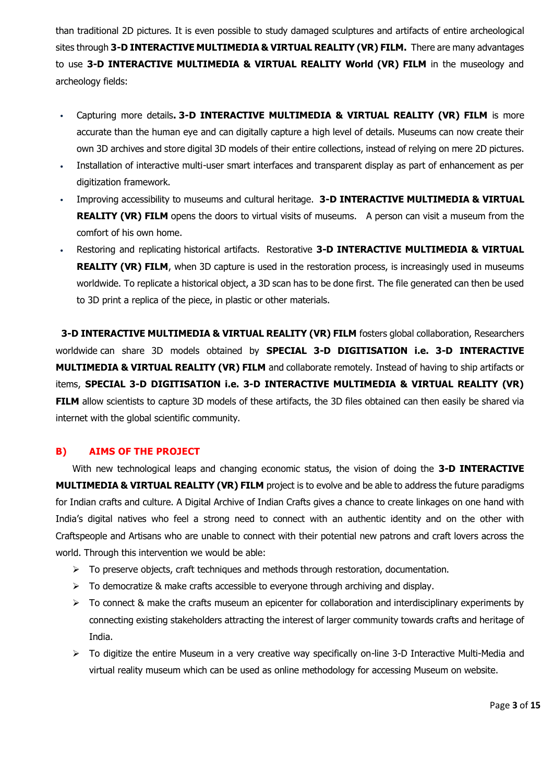than traditional 2D pictures. It is even possible to study damaged sculptures and artifacts of entire archeological sites through **3-D INTERACTIVE MULTIMEDIA & VIRTUAL REALITY (VR) FILM.** There are many advantages to use **3-D INTERACTIVE MULTIMEDIA & VIRTUAL REALITY World (VR) FILM** in the museology and archeology fields:

- Capturing more details**. 3-D INTERACTIVE MULTIMEDIA & VIRTUAL REALITY (VR) FILM** is more accurate than the human eye and can digitally capture a high level of details. Museums can now create their own 3D archives and store digital 3D models of their entire collections, instead of relying on mere 2D pictures.
- Installation of interactive multi-user smart interfaces and transparent display as part of enhancement as per digitization framework.
- Improving accessibility to museums and cultural heritage. **3-D INTERACTIVE MULTIMEDIA & VIRTUAL REALITY (VR) FILM** opens the doors to virtual visits of museums. A person can visit a museum from the comfort of his own home.
- Restoring and replicating historical artifacts. Restorative **3-D INTERACTIVE MULTIMEDIA & VIRTUAL REALITY (VR) FILM**, when 3D capture is used in the restoration process, is increasingly used in museums worldwide. To replicate a historical object, a 3D scan has to be done first. The file generated can then be used to 3D print a replica of the piece, in plastic or other materials.

**3-D INTERACTIVE MULTIMEDIA & VIRTUAL REALITY (VR) FILM** fosters global collaboration, Researchers worldwide can share 3D models obtained by **SPECIAL 3-D DIGITISATION i.e. 3-D INTERACTIVE MULTIMEDIA & VIRTUAL REALITY (VR) FILM** and collaborate remotely. Instead of having to ship artifacts or items, **SPECIAL 3-D DIGITISATION i.e. 3-D INTERACTIVE MULTIMEDIA & VIRTUAL REALITY (VR) FILM** allow scientists to capture 3D models of these artifacts, the 3D files obtained can then easily be shared via internet with the global scientific community.

# **B) AIMS OF THE PROJECT**

With new technological leaps and changing economic status, the vision of doing the **3-D INTERACTIVE MULTIMEDIA & VIRTUAL REALITY (VR) FILM** project is to evolve and be able to address the future paradigms for Indian crafts and culture. A Digital Archive of Indian Crafts gives a chance to create linkages on one hand with India's digital natives who feel a strong need to connect with an authentic identity and on the other with Craftspeople and Artisans who are unable to connect with their potential new patrons and craft lovers across the world. Through this intervention we would be able:

- $\triangleright$  To preserve objects, craft techniques and methods through restoration, documentation.
- $\triangleright$  To democratize & make crafts accessible to everyone through archiving and display.
- $\triangleright$  To connect & make the crafts museum an epicenter for collaboration and interdisciplinary experiments by connecting existing stakeholders attracting the interest of larger community towards crafts and heritage of India.
- > To digitize the entire Museum in a very creative way specifically on-line 3-D Interactive Multi-Media and virtual reality museum which can be used as online methodology for accessing Museum on website.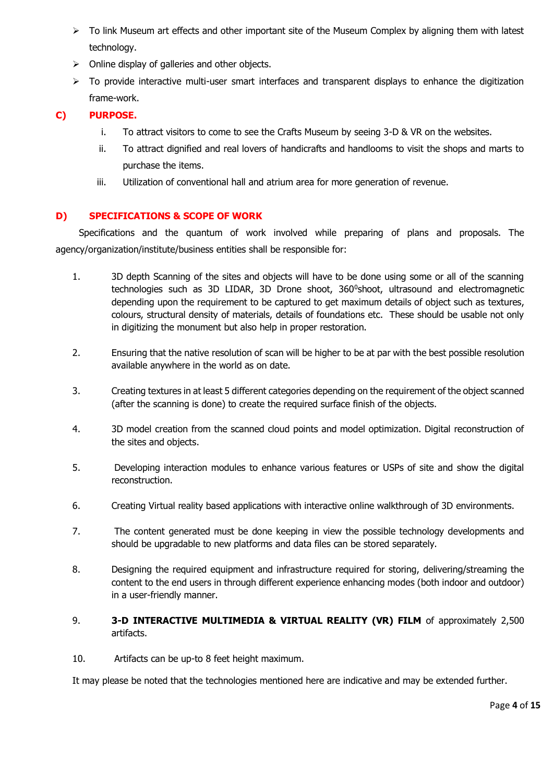- $\triangleright$  To link Museum art effects and other important site of the Museum Complex by aligning them with latest technology.
- $\triangleright$  Online display of galleries and other objects.
- > To provide interactive multi-user smart interfaces and transparent displays to enhance the digitization frame-work.

# **C) PURPOSE.**

- i. To attract visitors to come to see the Crafts Museum by seeing 3-D & VR on the websites.
- ii. To attract dignified and real lovers of handicrafts and handlooms to visit the shops and marts to purchase the items.
- iii. Utilization of conventional hall and atrium area for more generation of revenue.

# **D) SPECIFICATIONS & SCOPE OF WORK**

Specifications and the quantum of work involved while preparing of plans and proposals. The agency/organization/institute/business entities shall be responsible for:

- 1. 3D depth Scanning of the sites and objects will have to be done using some or all of the scanning technologies such as 3D LIDAR, 3D Drone shoot, 360°shoot, ultrasound and electromagnetic depending upon the requirement to be captured to get maximum details of object such as textures, colours, structural density of materials, details of foundations etc. These should be usable not only in digitizing the monument but also help in proper restoration.
- 2. Ensuring that the native resolution of scan will be higher to be at par with the best possible resolution available anywhere in the world as on date.
- 3. Creating textures in at least 5 different categories depending on the requirement of the object scanned (after the scanning is done) to create the required surface finish of the objects.
- 4. 3D model creation from the scanned cloud points and model optimization. Digital reconstruction of the sites and objects.
- 5. Developing interaction modules to enhance various features or USPs of site and show the digital reconstruction.
- 6. Creating Virtual reality based applications with interactive online walkthrough of 3D environments.
- 7. The content generated must be done keeping in view the possible technology developments and should be upgradable to new platforms and data files can be stored separately.
- 8. Designing the required equipment and infrastructure required for storing, delivering/streaming the content to the end users in through different experience enhancing modes (both indoor and outdoor) in a user-friendly manner.
- 9. **3-D INTERACTIVE MULTIMEDIA & VIRTUAL REALITY (VR) FILM** of approximately 2,500 artifacts.
- 10. Artifacts can be up-to 8 feet height maximum.

It may please be noted that the technologies mentioned here are indicative and may be extended further.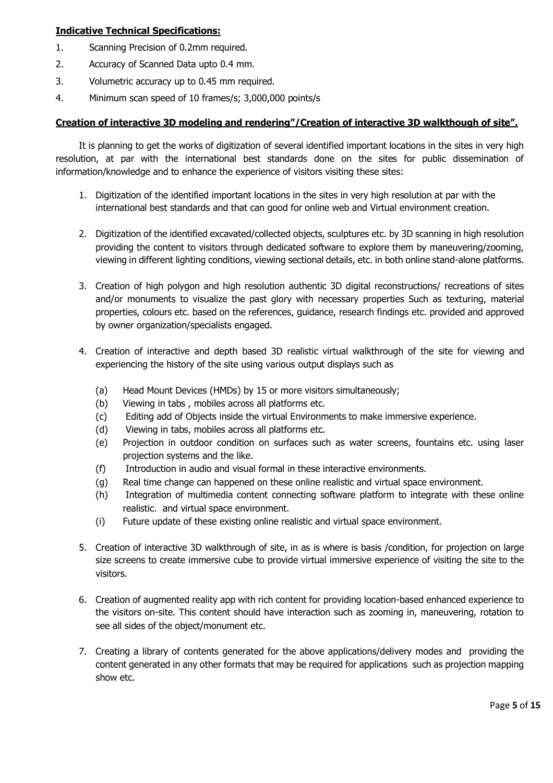# **Indicative Technical Specifications:**

- 1. Scanning Precision of 0.2mm required.
- 2. Accuracy of Scanned Data upto 0.4 mm.
- 3. Volumetric accuracy up to 0.45 mm required.
- 4. Minimum scan speed of 10 frames/s; 3,000,000 points/s

### **Creation of interactive 3D modeling and rendering"/Creation of interactive 3D walkthough of site".**

It is planning to get the works of digitization of several identified important locations in the sites in very high resolution, at par with the international best standards done on the sites for public dissemination of information/knowledge and to enhance the experience of visitors visiting these sites:

- 1. Digitization of the identified important locations in the sites in very high resolution at par with the international best standards and that can good for online web and Virtual environment creation.
- 2. Digitization of the identified excavated/collected objects, sculptures etc. by 3D scanning in high resolution providing the content to visitors through dedicated software to explore them by maneuvering/zooming, viewing in different lighting conditions, viewing sectional details, etc. in both online stand-alone platforms.
- 3. Creation of high polygon and high resolution authentic 3D digital reconstructions/ recreations of sites and/or monuments to visualize the past glory with necessary properties Such as texturing, material properties, colours etc. based on the references, guidance, research findings etc. provided and approved by owner organization/specialists engaged.
- 4. Creation of interactive and depth based 3D realistic virtual walkthrough of the site for viewing and experiencing the history of the site using various output displays such as
	- (a) Head Mount Devices (HMDs) by 15 or more visitors simultaneously;
	- (b) Viewing in tabs , mobiles across all platforms etc.
	- (c) Editing add of Objects inside the virtual Environments to make immersive experience.
	- (d) Viewing in tabs, mobiles across all platforms etc.
	- (e) Projection in outdoor condition on surfaces such as water screens, fountains etc. using laser projection systems and the like.
	- (f) Introduction in audio and visual formal in these interactive environments.
	- (g) Real time change can happened on these online realistic and virtual space environment.
	- (h) Integration of multimedia content connecting software platform to integrate with these online realistic. and virtual space environment.
	- (i) Future update of these existing online realistic and virtual space environment.
- 5. Creation of interactive 3D walkthrough of site, in as is where is basis /condition, for projection on large size screens to create immersive cube to provide virtual immersive experience of visiting the site to the visitors.
- 6. Creation of augmented reality app with rich content for providing location-based enhanced experience to the visitors on-site. This content should have interaction such as zooming in, maneuvering, rotation to see all sides of the object/monument etc.
- 7. Creating a library of contents generated for the above applications/delivery modes and providing the content generated in any other formats that may be required for applications such as projection mapping show etc.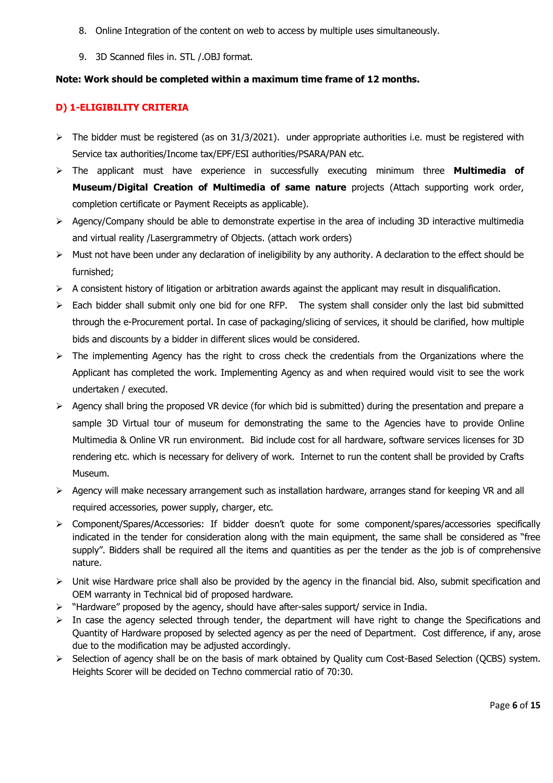- 8. Online Integration of the content on web to access by multiple uses simultaneously.
- 9. 3D Scanned files in. STL /.OBJ format.

## **Note: Work should be completed within a maximum time frame of 12 months.**

### **D) 1-ELIGIBILITY CRITERIA**

- $\triangleright$  The bidder must be registered (as on 31/3/2021). under appropriate authorities i.e. must be registered with Service tax authorities/Income tax/EPF/ESI authorities/PSARA/PAN etc.
- The applicant must have experience in successfully executing minimum three **Multimedia of Museum/Digital Creation of Multimedia of same nature** projects (Attach supporting work order, completion certificate or Payment Receipts as applicable).
- Agency/Company should be able to demonstrate expertise in the area of including 3D interactive multimedia and virtual reality /Lasergrammetry of Objects. (attach work orders)
- $\triangleright$  Must not have been under any declaration of ineligibility by any authority. A declaration to the effect should be furnished;
- $\triangleright$  A consistent history of litigation or arbitration awards against the applicant may result in disqualification.
- $\triangleright$  Each bidder shall submit only one bid for one RFP. The system shall consider only the last bid submitted through the e-Procurement portal. In case of packaging/slicing of services, it should be clarified, how multiple bids and discounts by a bidder in different slices would be considered.
- $\triangleright$  The implementing Agency has the right to cross check the credentials from the Organizations where the Applicant has completed the work. Implementing Agency as and when required would visit to see the work undertaken / executed.
- Agency shall bring the proposed VR device (for which bid is submitted) during the presentation and prepare a sample 3D Virtual tour of museum for demonstrating the same to the Agencies have to provide Online Multimedia & Online VR run environment. Bid include cost for all hardware, software services licenses for 3D rendering etc. which is necessary for delivery of work. Internet to run the content shall be provided by Crafts Museum.
- $\triangleright$  Agency will make necessary arrangement such as installation hardware, arranges stand for keeping VR and all required accessories, power supply, charger, etc.
- Component/Spares/Accessories: If bidder doesn't quote for some component/spares/accessories specifically indicated in the tender for consideration along with the main equipment, the same shall be considered as "free supply". Bidders shall be required all the items and quantities as per the tender as the job is of comprehensive nature.
- Unit wise Hardware price shall also be provided by the agency in the financial bid. Also, submit specification and OEM warranty in Technical bid of proposed hardware.
- $\triangleright$  "Hardware" proposed by the agency, should have after-sales support/ service in India.
- $\triangleright$  In case the agency selected through tender, the department will have right to change the Specifications and Quantity of Hardware proposed by selected agency as per the need of Department. Cost difference, if any, arose due to the modification may be adjusted accordingly.
- > Selection of agency shall be on the basis of mark obtained by Quality cum Cost-Based Selection (QCBS) system. Heights Scorer will be decided on Techno commercial ratio of 70:30.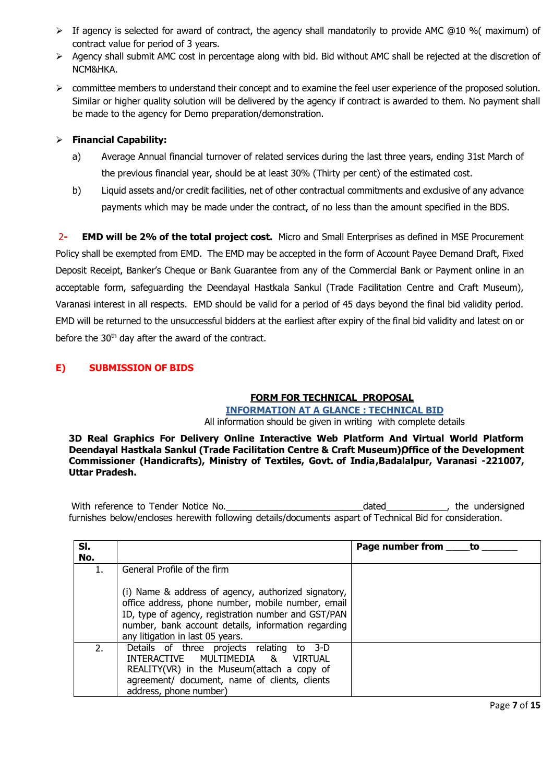- $\triangleright$  If agency is selected for award of contract, the agency shall mandatorily to provide AMC @10 % (maximum) of contract value for period of 3 years.
- Agency shall submit AMC cost in percentage along with bid. Bid without AMC shall be rejected at the discretion of NCM&HKA.
- committee members to understand their concept and to examine the feel user experience of the proposed solution. Similar or higher quality solution will be delivered by the agency if contract is awarded to them. No payment shall be made to the agency for Demo preparation/demonstration.

## **Financial Capability:**

- a) Average Annual financial turnover of related services during the last three years, ending 31st March of the previous financial year, should be at least 30% (Thirty per cent) of the estimated cost.
- b) Liquid assets and/or credit facilities, net of other contractual commitments and exclusive of any advance payments which may be made under the contract, of no less than the amount specified in the BDS.

2**- EMD will be 2% of the total project cost.** Micro and Small Enterprises as defined in MSE Procurement Policy shall be exempted from EMD. The EMD may be accepted in the form of Account Payee Demand Draft, Fixed Deposit Receipt, Banker's Cheque or Bank Guarantee from any of the Commercial Bank or Payment online in an acceptable form, safeguarding the Deendayal Hastkala Sankul (Trade Facilitation Centre and Craft Museum), Varanasi interest in all respects. EMD should be valid for a period of 45 days beyond the final bid validity period. EMD will be returned to the unsuccessful bidders at the earliest after expiry of the final bid validity and latest on or before the 30<sup>th</sup> day after the award of the contract.

# **E) SUBMISSION OF BIDS**

# **FORM FOR TECHNICAL PROPOSAL**

**INFORMATION AT A GLANCE : TECHNICAL BID**

All information should be given in writing with complete details

**3D Real Graphics For Delivery Online Interactive Web Platform And Virtual World Platform Deendayal Hastkala Sankul (Trade Facilitation Centre & Craft Museum) Office of the Development Commissioner (Handicrafts), Ministry of Textiles, Govt. of India , Badalalpur, Varanasi -221007, Uttar Pradesh.**

With reference to Tender Notice No.\_\_\_\_\_\_\_\_\_\_\_\_\_\_\_\_\_\_\_\_\_\_\_\_\_\_\_dated\_\_\_\_\_\_\_\_\_\_\_\_, the undersigned furnishes below/encloses herewith following details/documents aspart of Technical Bid for consideration.

| SI.<br>No. |                                                                                                                                                                                                                                                             | Page number from _____ to |
|------------|-------------------------------------------------------------------------------------------------------------------------------------------------------------------------------------------------------------------------------------------------------------|---------------------------|
| 1.         | General Profile of the firm                                                                                                                                                                                                                                 |                           |
|            | (i) Name & address of agency, authorized signatory,<br>office address, phone number, mobile number, email<br>ID, type of agency, registration number and GST/PAN<br>number, bank account details, information regarding<br>any litigation in last 05 years. |                           |
| 2.         | Details of three projects relating<br>to 3-D<br>INTERACTIVE MULTIMEDIA<br>8 <sup>1</sup><br><b>VIRTUAL</b><br>REALITY(VR) in the Museum(attach a copy of<br>agreement/ document, name of clients, clients<br>address, phone number)                         |                           |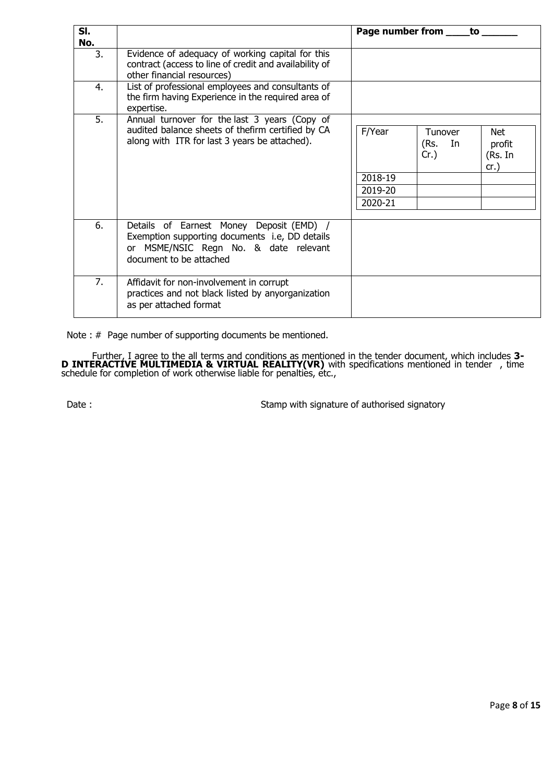| SI.<br>No. |                                                                                                                                                                | Page number from ___<br>to                                                                                              |
|------------|----------------------------------------------------------------------------------------------------------------------------------------------------------------|-------------------------------------------------------------------------------------------------------------------------|
| 3.         | Evidence of adequacy of working capital for this<br>contract (access to line of credit and availability of<br>other financial resources)                       |                                                                                                                         |
| 4.         | List of professional employees and consultants of<br>the firm having Experience in the required area of<br>expertise.                                          |                                                                                                                         |
| 5.         | Annual turnover for the last 3 years (Copy of<br>audited balance sheets of thefirm certified by CA<br>along with ITR for last 3 years be attached).            | F/Year<br>Net.<br><b>Tunover</b><br>(Rs.<br>In<br>profit<br>$Cr.$ )<br>(Rs. In<br>cr.)<br>2018-19<br>2019-20<br>2020-21 |
| 6.         | Details of Earnest Money Deposit (EMD) /<br>Exemption supporting documents i.e, DD details<br>or MSME/NSIC Regn No. & date relevant<br>document to be attached |                                                                                                                         |
| 7.         | Affidavit for non-involvement in corrupt<br>practices and not black listed by anyorganization<br>as per attached format                                        |                                                                                                                         |

Note : # Page number of supporting documents be mentioned.

Further, I agree to the all terms and conditions as mentioned in the tender document, which includes **3- D INTERACTIVE MULTIMEDIA & VIRTUAL REALITY(VR)** with specifications mentioned in tender , time schedule for completion of work otherwise liable for penaltiès, étc.,

Date : Stamp with signature of authorised signatory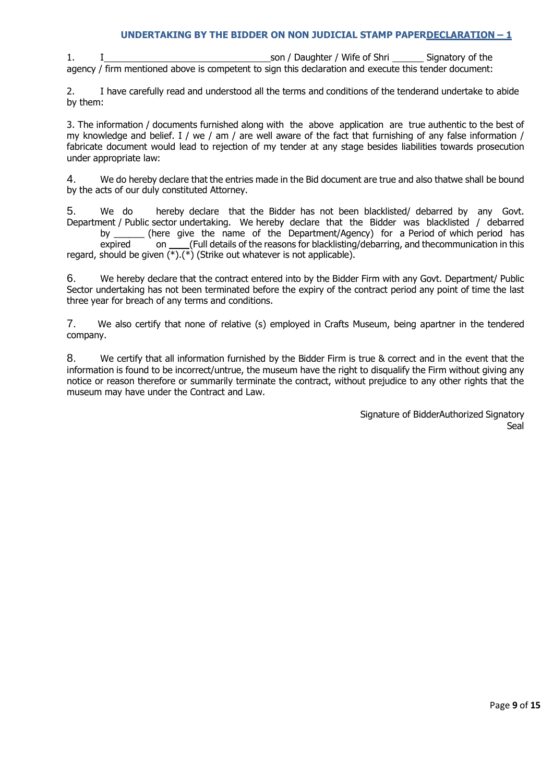# **UNDERTAKING BY THE BIDDER ON NON JUDICIAL STAMP PAPERDECLARATION – 1**

1. I Son / Daughter / Wife of Shri Signatory of the agency / firm mentioned above is competent to sign this declaration and execute this tender document:

2. I have carefully read and understood all the terms and conditions of the tenderand undertake to abide by them:

3. The information / documents furnished along with the above application are true authentic to the best of my knowledge and belief. I / we / am / are well aware of the fact that furnishing of any false information / fabricate document would lead to rejection of my tender at any stage besides liabilities towards prosecution under appropriate law:

4. We do hereby declare that the entries made in the Bid document are true and also thatwe shall be bound by the acts of our duly constituted Attorney.

5. We do hereby declare that the Bidder has not been blacklisted/ debarred by any Govt. Department / Public sector undertaking. We hereby declare that the Bidder was blacklisted / debarred<br>by (here give the name of the Department/Agency) for a Period of which period has (here give the name of the Department/Agency) for a Period of which period has

 $\overline{\phantom{a}}$  on  $\overline{\phantom{a}}$  (Full details of the reasons for blacklisting/debarring, and thecommunication in this regard, should be given  $(\overline{\ast})$ .( $\overline{\ast}$ ) (Strike out whatever is not applicable).

6. We hereby declare that the contract entered into by the Bidder Firm with any Govt. Department/ Public Sector undertaking has not been terminated before the expiry of the contract period any point of time the last three year for breach of any terms and conditions.

7. We also certify that none of relative (s) employed in Crafts Museum, being apartner in the tendered company.

8. We certify that all information furnished by the Bidder Firm is true & correct and in the event that the information is found to be incorrect/untrue, the museum have the right to disqualify the Firm without giving any notice or reason therefore or summarily terminate the contract, without prejudice to any other rights that the museum may have under the Contract and Law.

> Signature of BidderAuthorized Signatory Seal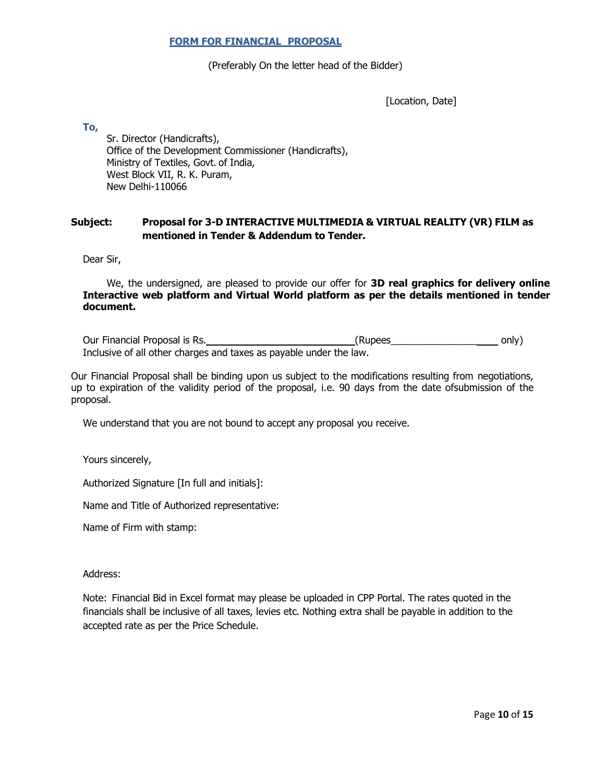#### **FORM FOR FINANCIAL PROPOSAL**

#### (Preferably On the letter head of the Bidder)

[Location, Date]

**To,**

Sr. Director (Handicrafts), Office of the Development Commissioner (Handicrafts), Ministry of Textiles, Govt. of India, West Block VII, R. K. Puram, New Delhi-110066

## **Subject: Proposal for 3-D INTERACTIVE MULTIMEDIA & VIRTUAL REALITY (VR) FILM as mentioned in Tender & Addendum to Tender.**

Dear Sir,

We, the undersigned, are pleased to provide our offer for **3D real graphics for delivery online Interactive web platform and Virtual World platform as per the details mentioned in tender document.**

Our Financial Proposal is Rs. The control of the control only only only) Inclusive of all other charges and taxes as payable under the law.

Our Financial Proposal shall be binding upon us subject to the modifications resulting from negotiations, up to expiration of the validity period of the proposal, i.e. 90 days from the date of submission of the proposal.

We understand that you are not bound to accept any proposal you receive.

Yours sincerely,

Authorized Signature [In full and initials]:

Name and Title of Authorized representative:

Name of Firm with stamp:

Address:

Note: Financial Bid in Excel format may please be uploaded in CPP Portal. The rates quoted in the financials shall be inclusive of all taxes, levies etc. Nothing extra shall be payable in addition to the accepted rate as per the Price Schedule.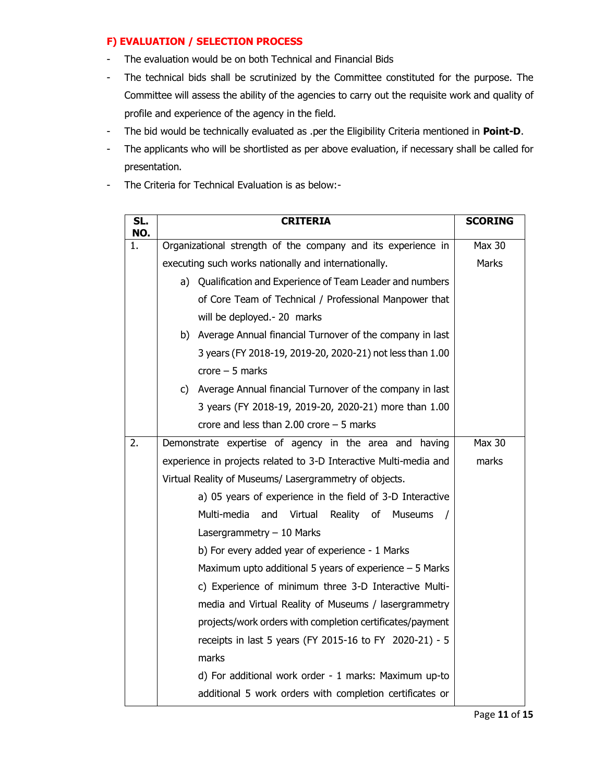# **F) EVALUATION / SELECTION PROCESS**

- The evaluation would be on both Technical and Financial Bids
- The technical bids shall be scrutinized by the Committee constituted for the purpose. The Committee will assess the ability of the agencies to carry out the requisite work and quality of profile and experience of the agency in the field.
- The bid would be technically evaluated as .per the Eligibility Criteria mentioned in **Point-D**.
- The applicants who will be shortlisted as per above evaluation, if necessary shall be called for presentation.
- The Criteria for Technical Evaluation is as below:-

| SL.<br>NO. | <b>CRITERIA</b>                                                   | <b>SCORING</b> |
|------------|-------------------------------------------------------------------|----------------|
| 1.         | Organizational strength of the company and its experience in      | <b>Max 30</b>  |
|            | executing such works nationally and internationally.              | Marks          |
|            | a) Qualification and Experience of Team Leader and numbers        |                |
|            | of Core Team of Technical / Professional Manpower that            |                |
|            | will be deployed .- 20 marks                                      |                |
|            | b) Average Annual financial Turnover of the company in last       |                |
|            | 3 years (FY 2018-19, 2019-20, 2020-21) not less than 1.00         |                |
|            | $\text{core} - 5 \text{ marks}$                                   |                |
|            | c) Average Annual financial Turnover of the company in last       |                |
|            | 3 years (FY 2018-19, 2019-20, 2020-21) more than 1.00             |                |
|            | crore and less than 2.00 crore $-5$ marks                         |                |
| 2.         | Demonstrate expertise of agency in the area and having            | <b>Max 30</b>  |
|            | experience in projects related to 3-D Interactive Multi-media and |                |
|            | Virtual Reality of Museums/ Lasergrammetry of objects.            |                |
|            | a) 05 years of experience in the field of 3-D Interactive         |                |
|            | Multi-media<br>and<br>Virtual<br>Reality of Museums               |                |
|            | Lasergrammetry $-10$ Marks                                        |                |
|            | b) For every added year of experience - 1 Marks                   |                |
|            | Maximum upto additional 5 years of experience $-5$ Marks          |                |
|            | c) Experience of minimum three 3-D Interactive Multi-             |                |
|            | media and Virtual Reality of Museums / lasergrammetry             |                |
|            | projects/work orders with completion certificates/payment         |                |
|            | receipts in last 5 years (FY 2015-16 to FY 2020-21) - 5           |                |
|            | marks                                                             |                |
|            | d) For additional work order - 1 marks: Maximum up-to             |                |
|            | additional 5 work orders with completion certificates or          |                |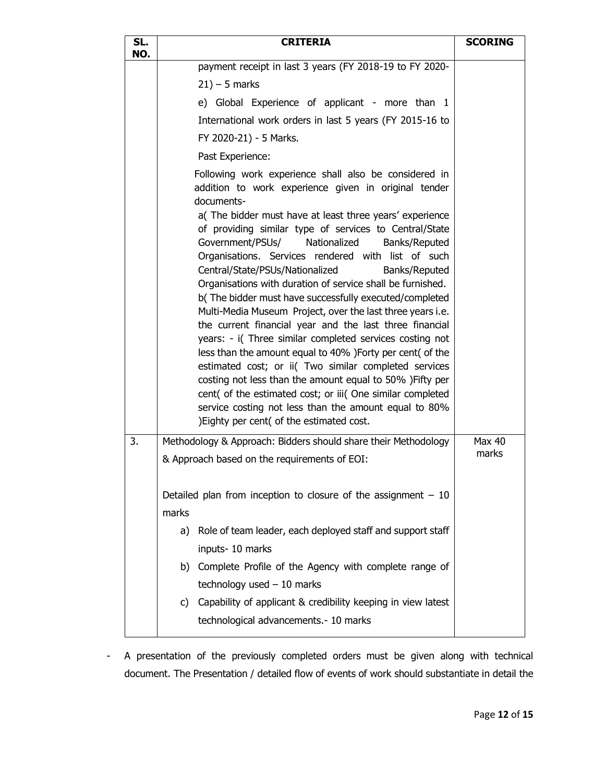| SL.<br>NO. | <b>CRITERIA</b>                                                                                                                                                                                                                                                                                                                                                                                                                                                                                                                                                                                       | <b>SCORING</b> |
|------------|-------------------------------------------------------------------------------------------------------------------------------------------------------------------------------------------------------------------------------------------------------------------------------------------------------------------------------------------------------------------------------------------------------------------------------------------------------------------------------------------------------------------------------------------------------------------------------------------------------|----------------|
|            | payment receipt in last 3 years (FY 2018-19 to FY 2020-                                                                                                                                                                                                                                                                                                                                                                                                                                                                                                                                               |                |
|            | $21$ ) – 5 marks                                                                                                                                                                                                                                                                                                                                                                                                                                                                                                                                                                                      |                |
|            | e) Global Experience of applicant - more than 1                                                                                                                                                                                                                                                                                                                                                                                                                                                                                                                                                       |                |
|            | International work orders in last 5 years (FY 2015-16 to                                                                                                                                                                                                                                                                                                                                                                                                                                                                                                                                              |                |
|            | FY 2020-21) - 5 Marks.                                                                                                                                                                                                                                                                                                                                                                                                                                                                                                                                                                                |                |
|            | Past Experience:                                                                                                                                                                                                                                                                                                                                                                                                                                                                                                                                                                                      |                |
|            | Following work experience shall also be considered in<br>addition to work experience given in original tender<br>documents-<br>a(The bidder must have at least three years' experience<br>of providing similar type of services to Central/State<br>Government/PSUs/<br>Nationalized<br>Banks/Reputed<br>Organisations. Services rendered with list of such<br>Central/State/PSUs/Nationalized<br>Banks/Reputed<br>Organisations with duration of service shall be furnished.<br>b(The bidder must have successfully executed/completed<br>Multi-Media Museum Project, over the last three years i.e. |                |
|            | the current financial year and the last three financial<br>years: - i(Three similar completed services costing not<br>less than the amount equal to 40% ) Forty per cent (of the<br>estimated cost; or ii( Two similar completed services<br>costing not less than the amount equal to 50% ) Fifty per<br>cent( of the estimated cost; or iii( One similar completed<br>service costing not less than the amount equal to 80%<br>)Eighty per cent( of the estimated cost.                                                                                                                             |                |
| 3.         | Methodology & Approach: Bidders should share their Methodology                                                                                                                                                                                                                                                                                                                                                                                                                                                                                                                                        | Max 40         |
|            | & Approach based on the requirements of EOI:                                                                                                                                                                                                                                                                                                                                                                                                                                                                                                                                                          | marks          |
|            | Detailed plan from inception to closure of the assignment $-10$                                                                                                                                                                                                                                                                                                                                                                                                                                                                                                                                       |                |
|            | marks                                                                                                                                                                                                                                                                                                                                                                                                                                                                                                                                                                                                 |                |
|            | Role of team leader, each deployed staff and support staff<br>a)<br>inputs-10 marks                                                                                                                                                                                                                                                                                                                                                                                                                                                                                                                   |                |
|            | b) Complete Profile of the Agency with complete range of<br>technology used $-10$ marks                                                                                                                                                                                                                                                                                                                                                                                                                                                                                                               |                |
|            | c) Capability of applicant & credibility keeping in view latest<br>technological advancements.- 10 marks                                                                                                                                                                                                                                                                                                                                                                                                                                                                                              |                |

- A presentation of the previously completed orders must be given along with technical document. The Presentation / detailed flow of events of work should substantiate in detail the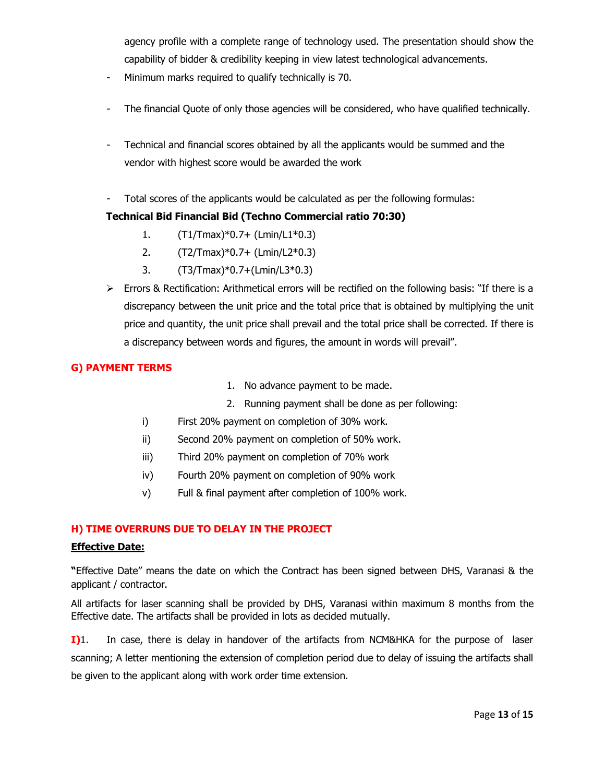agency profile with a complete range of technology used. The presentation should show the capability of bidder & credibility keeping in view latest technological advancements.

- Minimum marks required to qualify technically is 70.
- The financial Quote of only those agencies will be considered, who have qualified technically.
- Technical and financial scores obtained by all the applicants would be summed and the vendor with highest score would be awarded the work
- Total scores of the applicants would be calculated as per the following formulas:

### **Technical Bid Financial Bid (Techno Commercial ratio 70:30)**

- 1. (T1/Tmax)\*0.7+ (Lmin/L1\*0.3)
- 2. (T2/Tmax)\*0.7+ (Lmin/L2\*0.3)
- 3. (T3/Tmax)\*0.7+(Lmin/L3\*0.3)
- $\triangleright$  Errors & Rectification: Arithmetical errors will be rectified on the following basis: "If there is a discrepancy between the unit price and the total price that is obtained by multiplying the unit price and quantity, the unit price shall prevail and the total price shall be corrected. If there is a discrepancy between words and figures, the amount in words will prevail".

### **G) PAYMENT TERMS**

- 1. No advance payment to be made.
- 2. Running payment shall be done as per following:
- i) First 20% payment on completion of 30% work.
- ii) Second 20% payment on completion of 50% work.
- iii) Third 20% payment on completion of 70% work
- iv) Fourth 20% payment on completion of 90% work
- v) Full & final payment after completion of 100% work.

#### **H) TIME OVERRUNS DUE TO DELAY IN THE PROJECT**

#### **Effective Date:**

**"**Effective Date" means the date on which the Contract has been signed between DHS, Varanasi & the applicant / contractor.

All artifacts for laser scanning shall be provided by DHS, Varanasi within maximum 8 months from the Effective date. The artifacts shall be provided in lots as decided mutually.

**I)**1. In case, there is delay in handover of the artifacts from NCM&HKA for the purpose of laser scanning; A letter mentioning the extension of completion period due to delay of issuing the artifacts shall be given to the applicant along with work order time extension.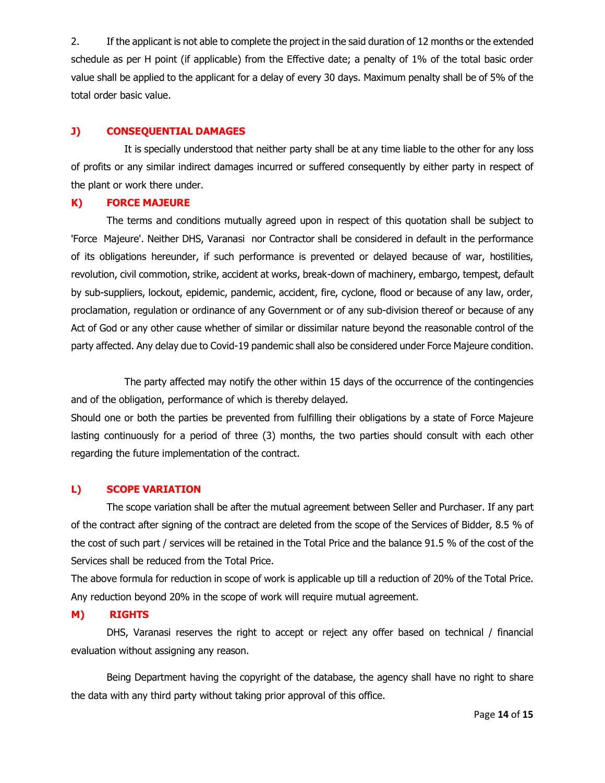2. If the applicant is not able to complete the project in the said duration of 12 months or the extended schedule as per H point (if applicable) from the Effective date; a penalty of 1% of the total basic order value shall be applied to the applicant for a delay of every 30 days. Maximum penalty shall be of 5% of the total order basic value.

### **J) CONSEQUENTIAL DAMAGES**

It is specially understood that neither party shall be at any time liable to the other for any loss of profits or any similar indirect damages incurred or suffered consequently by either party in respect of the plant or work there under.

#### **K) FORCE MAJEURE**

The terms and conditions mutually agreed upon in respect of this quotation shall be subject to 'Force Majeure'. Neither DHS, Varanasi nor Contractor shall be considered in default in the performance of its obligations hereunder, if such performance is prevented or delayed because of war, hostilities, revolution, civil commotion, strike, accident at works, break-down of machinery, embargo, tempest, default by sub-suppliers, lockout, epidemic, pandemic, accident, fire, cyclone, flood or because of any law, order, proclamation, regulation or ordinance of any Government or of any sub-division thereof or because of any Act of God or any other cause whether of similar or dissimilar nature beyond the reasonable control of the party affected. Any delay due to Covid-19 pandemic shall also be considered under Force Majeure condition.

The party affected may notify the other within 15 days of the occurrence of the contingencies and of the obligation, performance of which is thereby delayed.

Should one or both the parties be prevented from fulfilling their obligations by a state of Force Majeure lasting continuously for a period of three (3) months, the two parties should consult with each other regarding the future implementation of the contract.

# **L) SCOPE VARIATION**

The scope variation shall be after the mutual agreement between Seller and Purchaser. If any part of the contract after signing of the contract are deleted from the scope of the Services of Bidder, 8.5 % of the cost of such part / services will be retained in the Total Price and the balance 91.5 % of the cost of the Services shall be reduced from the Total Price.

The above formula for reduction in scope of work is applicable up till a reduction of 20% of the Total Price. Any reduction beyond 20% in the scope of work will require mutual agreement.

#### **M) RIGHTS**

DHS, Varanasi reserves the right to accept or reject any offer based on technical / financial evaluation without assigning any reason.

Being Department having the copyright of the database, the agency shall have no right to share the data with any third party without taking prior approval of this office.